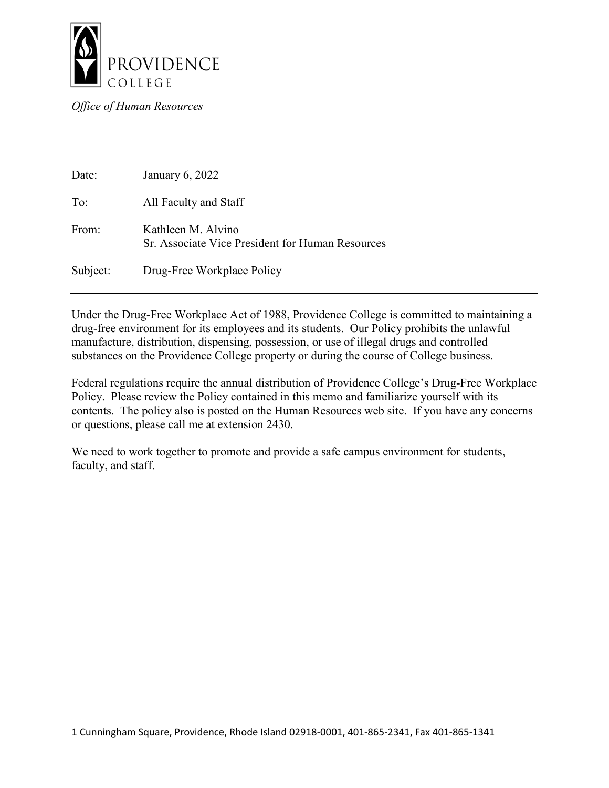

*Office of Human Resources*

| Date:    | January 6, 2022                                                        |
|----------|------------------------------------------------------------------------|
| To:      | All Faculty and Staff                                                  |
| From:    | Kathleen M. Alvino<br>Sr. Associate Vice President for Human Resources |
| Subject: | Drug-Free Workplace Policy                                             |

Under the Drug-Free Workplace Act of 1988, Providence College is committed to maintaining a drug-free environment for its employees and its students. Our Policy prohibits the unlawful manufacture, distribution, dispensing, possession, or use of illegal drugs and controlled substances on the Providence College property or during the course of College business.

Federal regulations require the annual distribution of Providence College's Drug-Free Workplace Policy. Please review the Policy contained in this memo and familiarize yourself with its contents. The policy also is posted on the Human Resources web site. If you have any concerns or questions, please call me at extension 2430.

We need to work together to promote and provide a safe campus environment for students, faculty, and staff.